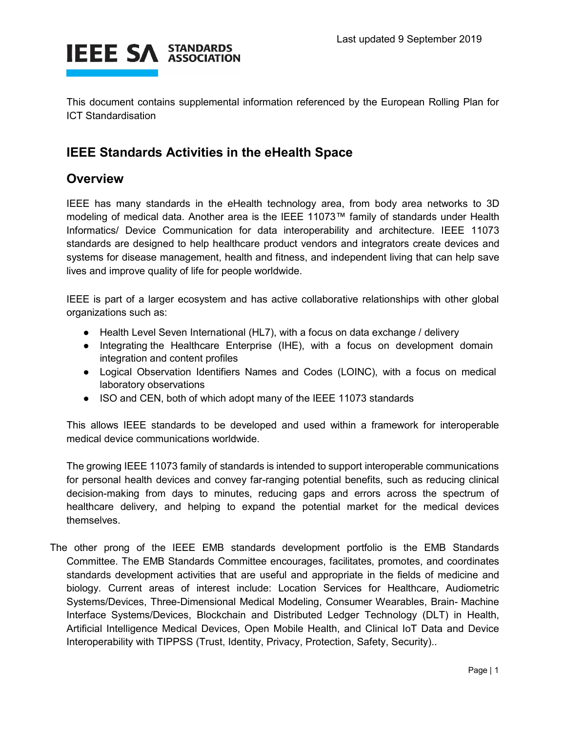

This document contains supplemental information referenced by the European Rolling Plan for ICT Standardisation

## **IEEE Standards Activities in the eHealth Space**

## **Overview**

IEEE has many standards in the eHealth technology area, from body area networks to 3D modeling of medical data. Another area is the IEEE 11073™ family of standards under Health Informatics/ Device Communication for data interoperability and architecture. IEEE 11073 standards are designed to help healthcare product vendors and integrators create devices and systems for disease management, health and fitness, and independent living that can help save lives and improve quality of life for people worldwide.

IEEE is part of a larger ecosystem and has active collaborative relationships with other global organizations such as:

- Health Level Seven International (HL7), with a focus on data exchange / delivery
- Integrating the Healthcare Enterprise (IHE), with a focus on development domain integration and content profiles
- Logical Observation Identifiers Names and Codes (LOINC), with a focus on medical laboratory observations
- ISO and CEN, both of which adopt many of the IEEE 11073 standards

This allows IEEE standards to be developed and used within a framework for interoperable medical device communications worldwide.

The growing IEEE 11073 family of standards is intended to support interoperable communications for personal health devices and convey far-ranging potential benefits, such as reducing clinical decision-making from days to minutes, reducing gaps and errors across the spectrum of healthcare delivery, and helping to expand the potential market for the medical devices themselves.

The other prong of the IEEE EMB standards development portfolio is the EMB Standards Committee. The EMB Standards Committee encourages, facilitates, promotes, and coordinates standards development activities that are useful and appropriate in the fields of medicine and biology. Current areas of interest include: Location Services for Healthcare, Audiometric Systems/Devices, Three-Dimensional Medical Modeling, Consumer Wearables, Brain- Machine Interface Systems/Devices, Blockchain and Distributed Ledger Technology (DLT) in Health, Artificial Intelligence Medical Devices, Open Mobile Health, and Clinical IoT Data and Device Interoperability with TIPPSS (Trust, Identity, Privacy, Protection, Safety, Security)..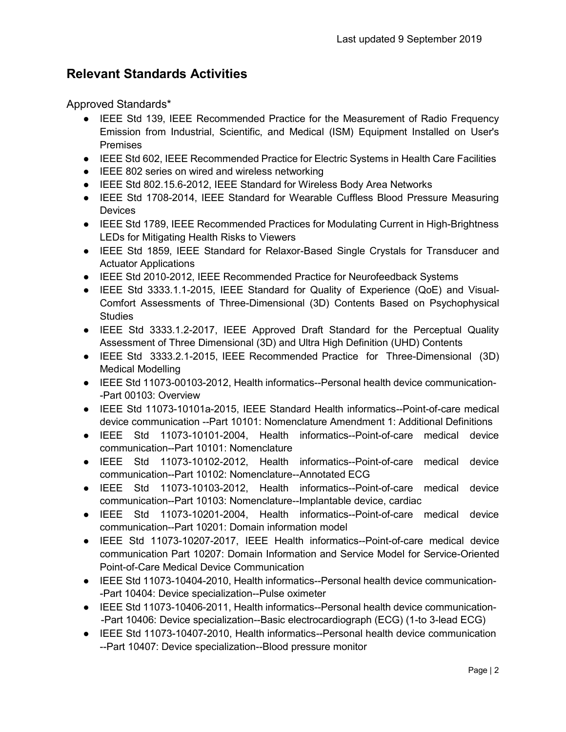## **Relevant Standards Activities**

Approved Standards\*

- IEEE Std 139, IEEE Recommended Practice for the Measurement of Radio Frequency Emission from Industrial, Scientific, and Medical (ISM) Equipment Installed on User's Premises
- IEEE Std 602, IEEE Recommended Practice for Electric Systems in Health Care Facilities
- IEEE 802 series on wired and wireless networking
- IEEE Std 802.15.6-2012, IEEE Standard for Wireless Body Area Networks
- IEEE Std 1708-2014, IEEE Standard for Wearable Cuffless Blood Pressure Measuring **Devices**
- IEEE Std 1789, IEEE Recommended Practices for Modulating Current in High-Brightness LEDs for Mitigating Health Risks to Viewers
- IEEE Std 1859, IEEE Standard for Relaxor-Based Single Crystals for Transducer and Actuator Applications
- IEEE Std 2010-2012, IEEE Recommended Practice for Neurofeedback Systems
- IEEE Std 3333.1.1-2015, IEEE Standard for Quality of Experience (QoE) and Visual-Comfort Assessments of Three-Dimensional (3D) Contents Based on Psychophysical **Studies**
- IEEE Std 3333.1.2-2017, IEEE Approved Draft Standard for the Perceptual Quality Assessment of Three Dimensional (3D) and Ultra High Definition (UHD) Contents
- IEEE Std 3333.2.1-2015, IEEE Recommended Practice for Three-Dimensional (3D) Medical Modelling
- IEEE Std 11073-00103-2012, Health informatics--Personal health device communication- -Part 00103: Overview
- IEEE Std 11073-10101a-2015, IEEE Standard Health informatics--Point-of-care medical device communication --Part 10101: Nomenclature Amendment 1: Additional Definitions
- IEEE Std 11073-10101-2004, Health informatics--Point-of-care medical device communication--Part 10101: Nomenclature
- IEEE Std 11073-10102-2012, Health informatics--Point-of-care medical device communication--Part 10102: Nomenclature--Annotated ECG
- IEEE Std 11073-10103-2012, Health informatics--Point-of-care medical device communication--Part 10103: Nomenclature--Implantable device, cardiac
- IEEE Std 11073-10201-2004, Health informatics--Point-of-care medical device communication--Part 10201: Domain information model
- IEEE Std 11073-10207-2017, IEEE Health informatics--Point-of-care medical device communication Part 10207: Domain Information and Service Model for Service-Oriented Point-of-Care Medical Device Communication
- IEEE Std 11073-10404-2010, Health informatics--Personal health device communication--Part 10404: Device specialization--Pulse oximeter
- IEEE Std 11073-10406-2011, Health informatics--Personal health device communication--Part 10406: Device specialization--Basic electrocardiograph (ECG) (1-to 3-lead ECG)
- IEEE Std 11073-10407-2010, Health informatics--Personal health device communication --Part 10407: Device specialization--Blood pressure monitor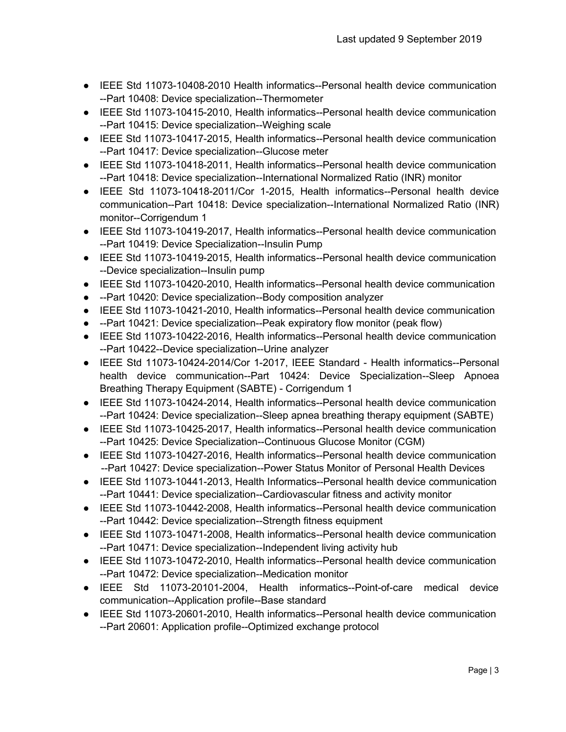- IEEE Std 11073-10408-2010 Health informatics--Personal health device communication --Part 10408: Device specialization--Thermometer
- IEEE Std 11073-10415-2010, Health informatics--Personal health device communication --Part 10415: Device specialization--Weighing scale
- IEEE Std 11073-10417-2015, Health informatics--Personal health device communication --Part 10417: Device specialization--Glucose meter
- IEEE Std 11073-10418-2011, Health informatics--Personal health device communication --Part 10418: Device specialization--International Normalized Ratio (INR) monitor
- IEEE Std 11073-10418-2011/Cor 1-2015, Health informatics--Personal health device communication--Part 10418: Device specialization--International Normalized Ratio (INR) monitor--Corrigendum 1
- IEEE Std 11073-10419-2017, Health informatics--Personal health device communication --Part 10419: Device Specialization--Insulin Pump
- IEEE Std 11073-10419-2015, Health informatics--Personal health device communication --Device specialization--Insulin pump
- IEEE Std 11073-10420-2010, Health informatics--Personal health device communication
- --Part 10420: Device specialization--Body composition analyzer
- IEEE Std 11073-10421-2010, Health informatics--Personal health device communication
- --Part 10421: Device specialization--Peak expiratory flow monitor (peak flow)
- IEEE Std 11073-10422-2016, Health informatics--Personal health device communication --Part 10422--Device specialization--Urine analyzer
- IEEE Std 11073-10424-2014/Cor 1-2017, IEEE Standard Health informatics--Personal health device communication--Part 10424: Device Specialization--Sleep Apnoea Breathing Therapy Equipment (SABTE) - Corrigendum 1
- IEEE Std 11073-10424-2014, Health informatics--Personal health device communication --Part 10424: Device specialization--Sleep apnea breathing therapy equipment (SABTE)
- IEEE Std 11073-10425-2017, Health informatics--Personal health device communication --Part 10425: Device Specialization--Continuous Glucose Monitor (CGM)
- IEEE Std 11073-10427-2016, Health informatics--Personal health device communication --Part 10427: Device specialization--Power Status Monitor of Personal Health Devices
- IEEE Std 11073-10441-2013, Health Informatics--Personal health device communication --Part 10441: Device specialization--Cardiovascular fitness and activity monitor
- IEEE Std 11073-10442-2008, Health informatics--Personal health device communication --Part 10442: Device specialization--Strength fitness equipment
- IEEE Std 11073-10471-2008, Health informatics--Personal health device communication --Part 10471: Device specialization--Independent living activity hub
- IEEE Std 11073-10472-2010, Health informatics--Personal health device communication --Part 10472: Device specialization--Medication monitor
- IEEE Std 11073-20101-2004, Health informatics--Point-of-care medical device communication--Application profile--Base standard
- IEEE Std 11073-20601-2010, Health informatics--Personal health device communication --Part 20601: Application profile--Optimized exchange protocol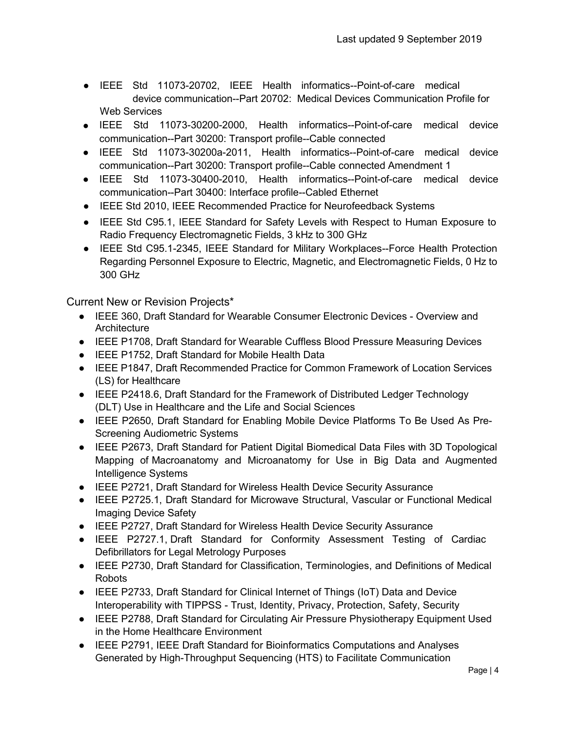- IEEE Std 11073-20702, IEEE Health informatics--Point-of-care medical device communication--Part 20702: Medical Devices Communication Profile for Web Services
- IEEE Std 11073-30200-2000, Health informatics--Point-of-care medical device communication--Part 30200: Transport profile--Cable connected
- IEEE Std 11073-30200a-2011, Health informatics--Point-of-care medical device communication--Part 30200: Transport profile--Cable connected Amendment 1
- IEEE Std 11073-30400-2010, Health informatics--Point-of-care medical device communication--Part 30400: Interface profile--Cabled Ethernet
- IEEE Std 2010, IEEE Recommended Practice for Neurofeedback Systems
- IEEE Std C95.1, IEEE Standard for Safety Levels with Respect to Human Exposure to Radio Frequency Electromagnetic Fields, 3 kHz to 300 GHz
- IEEE Std C95.1-2345, IEEE Standard for Military Workplaces--Force Health Protection Regarding Personnel Exposure to Electric, Magnetic, and Electromagnetic Fields, 0 Hz to 300 GHz

Current New or Revision Projects\*

- IEEE 360, Draft Standard for Wearable Consumer Electronic Devices Overview and **Architecture**
- IEEE P1708, Draft Standard for Wearable Cuffless Blood Pressure Measuring Devices
- IEEE P1752, Draft Standard for Mobile Health Data
- IEEE P1847, Draft Recommended Practice for Common Framework of Location Services (LS) for Healthcare
- IEEE P2418.6, Draft Standard for the Framework of Distributed Ledger Technology (DLT) Use in Healthcare and the Life and Social Sciences
- IEEE P2650, Draft Standard for Enabling Mobile Device Platforms To Be Used As Pre-Screening Audiometric Systems
- IEEE P2673, Draft Standard for Patient Digital Biomedical Data Files with 3D Topological Mapping of Macroanatomy and Microanatomy for Use in Big Data and Augmented Intelligence Systems
- IEEE P2721, Draft Standard for Wireless Health Device Security Assurance
- IEEE P2725.1, Draft Standard for Microwave Structural, Vascular or Functional Medical Imaging Device Safety
- IEEE P2727, Draft Standard for Wireless Health Device Security Assurance
- IEEE P2727.1, Draft Standard for Conformity Assessment Testing of Cardiac Defibrillators for Legal Metrology Purposes
- IEEE P2730, Draft Standard for Classification, Terminologies, and Definitions of Medical **Robots**
- IEEE P2733, Draft Standard for Clinical Internet of Things (IoT) Data and Device Interoperability with TIPPSS - Trust, Identity, Privacy, Protection, Safety, Security
- IEEE P2788, Draft Standard for Circulating Air Pressure Physiotherapy Equipment Used in the Home Healthcare Environment
- IEEE P2791, IEEE Draft Standard for Bioinformatics Computations and Analyses Generated by High-Throughput Sequencing (HTS) to Facilitate Communication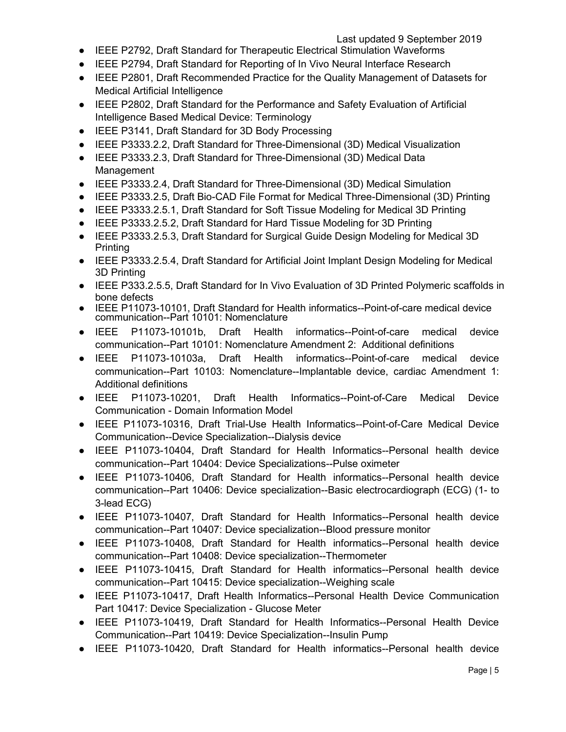- IEEE P2792, Draft Standard for Therapeutic Electrical Stimulation Waveforms
- IEEE P2794, Draft Standard for Reporting of In Vivo Neural Interface Research
- IEEE P2801, Draft Recommended Practice for the Quality Management of Datasets for Medical Artificial Intelligence
- IEEE P2802, Draft Standard for the Performance and Safety Evaluation of Artificial Intelligence Based Medical Device: Terminology
- IEEE P3141, Draft Standard for 3D Body Processing
- IEEE P3333.2.2, Draft Standard for Three-Dimensional (3D) Medical Visualization
- IEEE P3333.2.3, Draft Standard for Three-Dimensional (3D) Medical Data Management
- IEEE P3333.2.4, Draft Standard for Three-Dimensional (3D) Medical Simulation
- IEEE P3333.2.5, Draft Bio-CAD File Format for Medical Three-Dimensional (3D) Printing
- IEEE P3333.2.5.1, Draft Standard for Soft Tissue Modeling for Medical 3D Printing
- IEEE P3333.2.5.2, Draft Standard for Hard Tissue Modeling for 3D Printing
- IEEE P3333.2.5.3, Draft Standard for Surgical Guide Design Modeling for Medical 3D **Printing**
- IEEE P3333.2.5.4, Draft Standard for Artificial Joint Implant Design Modeling for Medical 3D Printing
- IEEE P333.2.5.5, Draft Standard for In Vivo Evaluation of 3D Printed Polymeric scaffolds in bone defects
- IEEE P11073-10101, Draft Standard for Health informatics--Point-of-care medical device communication--Part 10101: Nomenclature
- IEEE P11073-10101b, Draft Health informatics--Point-of-care medical device communication--Part 10101: Nomenclature Amendment 2: Additional definitions
- IEEE P11073-10103a, Draft Health informatics--Point-of-care medical device communication--Part 10103: Nomenclature--Implantable device, cardiac Amendment 1: Additional definitions
- IEEE P11073-10201, Draft Health Informatics--Point-of-Care Medical Device Communication - Domain Information Model
- IEEE P11073-10316, Draft Trial-Use Health Informatics--Point-of-Care Medical Device Communication--Device Specialization--Dialysis device
- IEEE P11073-10404, Draft Standard for Health Informatics--Personal health device communication--Part 10404: Device Specializations--Pulse oximeter
- IEEE P11073-10406, Draft Standard for Health informatics--Personal health device communication--Part 10406: Device specialization--Basic electrocardiograph (ECG) (1- to 3-lead ECG)
- IEEE P11073-10407, Draft Standard for Health Informatics--Personal health device communication--Part 10407: Device specialization--Blood pressure monitor
- IEEE P11073-10408, Draft Standard for Health informatics--Personal health device communication--Part 10408: Device specialization--Thermometer
- IEEE P11073-10415, Draft Standard for Health informatics--Personal health device communication--Part 10415: Device specialization--Weighing scale
- IEEE P11073-10417, Draft Health Informatics--Personal Health Device Communication Part 10417: Device Specialization - Glucose Meter
- IEEE P11073-10419, Draft Standard for Health Informatics--Personal Health Device Communication--Part 10419: Device Specialization--Insulin Pump
- IEEE P11073-10420, Draft Standard for Health informatics--Personal health device